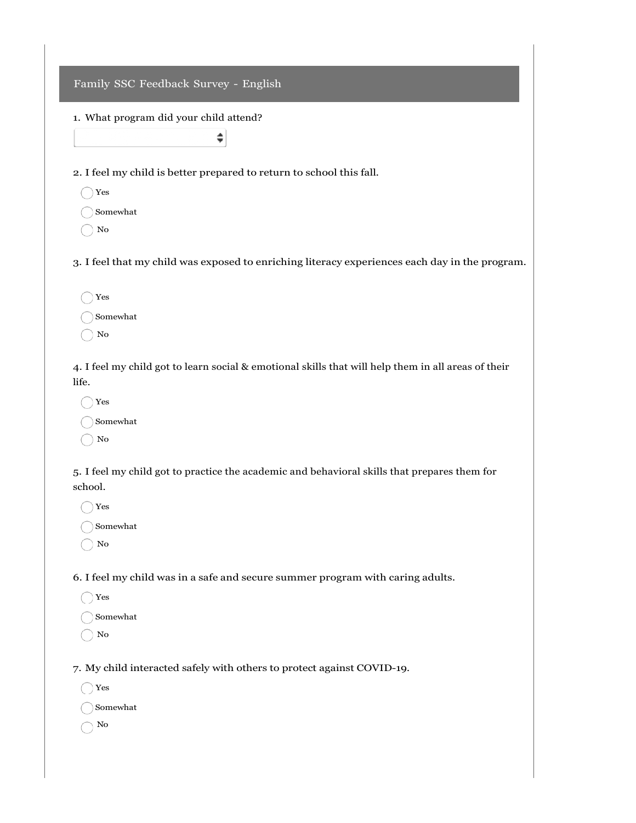## Family SSC Feedback Survey - English

## 1. What program did your child attend?

 $\hat{\mathbf{z}}$ 

2. I feel my child is better prepared to return to school this fall.

- Yes
- Somewhat
- No

3. I feel that my child was exposed to enriching literacy experiences each day in the program.

| Yes      |
|----------|
| Somewhat |
| Nο       |

4. I feel my child got to learn social & emotional skills that will help them in all areas of their life.

Yes Somewhat No

5. I feel my child got to practice the academic and behavioral skills that prepares them for school.

Yes Somewhat

 $\bigcirc$  No

6. I feel my child was in a safe and secure summer program with caring adults.

- Yes
- Somewhat
- ◯ No

7. My child interacted safely with others to protect against COVID-19.

Yes

Somewhat

No